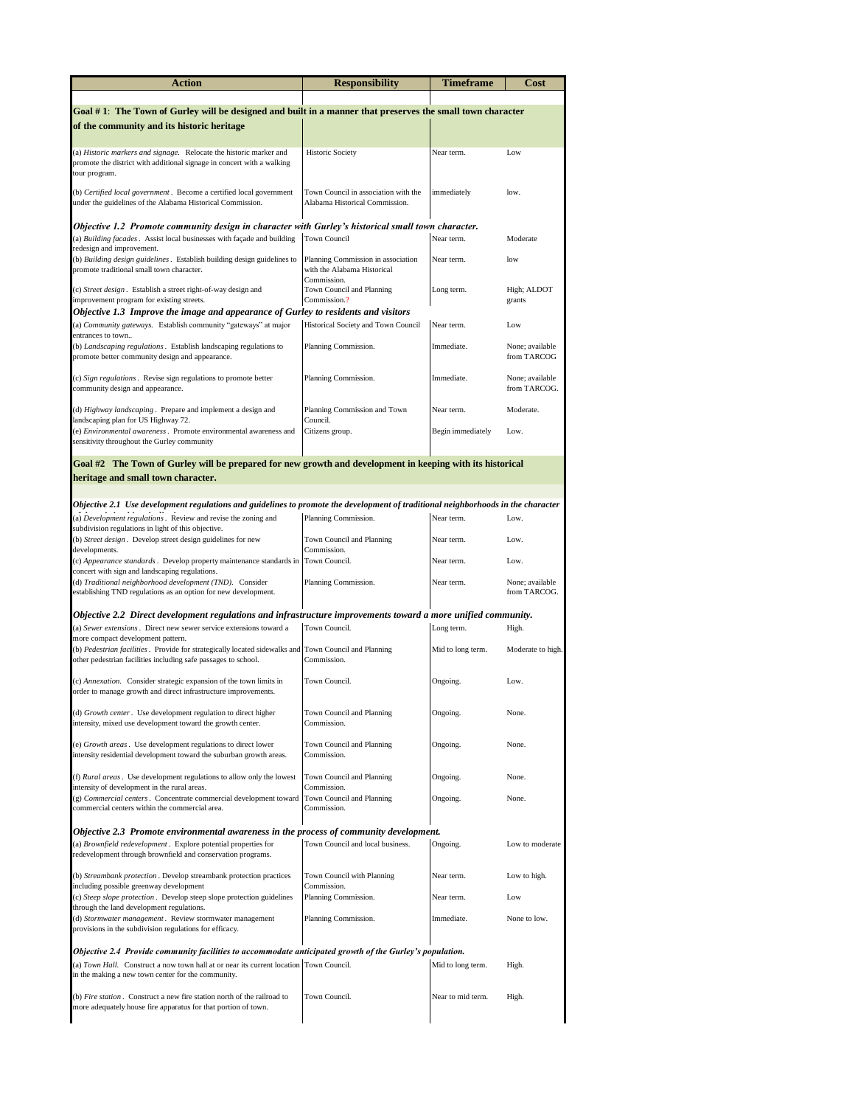| Action                                                                                                                                                                 | <b>Responsibility</b>                                                            | Timeframe         | Cost                            |  |  |
|------------------------------------------------------------------------------------------------------------------------------------------------------------------------|----------------------------------------------------------------------------------|-------------------|---------------------------------|--|--|
|                                                                                                                                                                        |                                                                                  |                   |                                 |  |  |
| Goal #1: The Town of Gurley will be designed and built in a manner that preserves the small town character                                                             |                                                                                  |                   |                                 |  |  |
| of the community and its historic heritage                                                                                                                             |                                                                                  |                   |                                 |  |  |
| (a) Historic markers and signage. Relocate the historic marker and<br>promote the district with additional signage in concert with a walking<br>tour program.          | <b>Historic Society</b>                                                          | Near term.        | Low                             |  |  |
| (b) Certified local government. Become a certified local government<br>under the guidelines of the Alabama Historical Commission.                                      | Town Council in association with the<br>Alabama Historical Commission.           | immediately       | low.                            |  |  |
| Objective 1.2 Promote community design in character with Gurley's historical small town character.                                                                     |                                                                                  |                   |                                 |  |  |
| (a) Building facades. Assist local businesses with façade and building<br>redesign and improvement.                                                                    | <b>Town Council</b>                                                              | Near term.        | Moderate                        |  |  |
| (b) Building design guidelines . Establish building design guidelines to<br>promote traditional small town character.                                                  | Planning Commission in association<br>with the Alabama Historical<br>Commission. | Near term.        | low                             |  |  |
| (c) Street design. Establish a street right-of-way design and<br>improvement program for existing streets.                                                             | Town Council and Planning<br>Commission.?                                        | Long term.        | High; ALDOT<br>grants           |  |  |
| Objective 1.3 Improve the image and appearance of Gurley to residents and visitors<br>(a) Community gateways. Establish community "gateways" at major                  | Historical Society and Town Council                                              | Near term.        | Low                             |  |  |
| entrances to town<br>(b) Landscaping regulations. Establish landscaping regulations to<br>promote better community design and appearance.                              | Planning Commission.                                                             | Immediate.        | None; available<br>from TARCOG  |  |  |
| (c) Sign regulations. Revise sign regulations to promote better<br>community design and appearance.                                                                    | Planning Commission.                                                             | Immediate.        | None; available<br>from TARCOG. |  |  |
| (d) Highway landscaping. Prepare and implement a design and                                                                                                            | Planning Commission and Town                                                     | Near term.        | Moderate.                       |  |  |
| landscaping plan for US Highway 72.<br>(e) Environmental awareness. Promote environmental awareness and<br>sensitivity throughout the Gurley community                 | Council.<br>Citizens group.                                                      | Begin immediately | Low.                            |  |  |
| Goal #2 The Town of Gurley will be prepared for new growth and development in keeping with its historical                                                              |                                                                                  |                   |                                 |  |  |
| heritage and small town character.                                                                                                                                     |                                                                                  |                   |                                 |  |  |
| Objective 2.1 Use development regulations and guidelines to promote the development of traditional neighborhoods in the character                                      |                                                                                  |                   |                                 |  |  |
| (a) Development regulations. Review and revise the zoning and<br>subdivision regulations in light of this objective.                                                   | Planning Commission.                                                             | Near term.        | Low.                            |  |  |
| (b) Street design. Develop street design guidelines for new<br>developments.                                                                                           | Town Council and Planning<br>Commission.                                         | Near term.        | Low.                            |  |  |
| (c) Appearance standards. Develop property maintenance standards in<br>concert with sign and landscaping regulations.                                                  | Town Council.                                                                    | Near term.        | Low.                            |  |  |
| (d) Traditional neighborhood development (TND). Consider<br>establishing TND regulations as an option for new development.                                             | Planning Commission.                                                             | Near term.        | None; available<br>from TARCOG. |  |  |
| Objective 2.2 Direct development regulations and infrastructure improvements toward a more unified community.                                                          |                                                                                  |                   |                                 |  |  |
| (a) Sewer extensions. Direct new sewer service extensions toward a<br>more compact development pattern.                                                                | Town Council.                                                                    | Long term.        | High.                           |  |  |
| (b) Pedestrian facilities. Provide for strategically located sidewalks and Town Council and Planning<br>other pedestrian facilities including safe passages to school. | Commission.                                                                      | Mid to long term. | Moderate to high.               |  |  |
| (c) <i>Annexation</i> . Consider strategic expansion of the town limits in<br>order to manage growth and direct infrastructure improvements.                           | Town Council.                                                                    | Ongoing           | Low.                            |  |  |
| (d) Growth center. Use development regulation to direct higher<br>intensity, mixed use development toward the growth center.                                           | Town Council and Planning<br>Commission.                                         | Ongoing.          | None.                           |  |  |
| (e) Growth areas. Use development regulations to direct lower<br>intensity residential development toward the suburban growth areas.                                   | Town Council and Planning<br>Commission.                                         | Ongoing.          | None.                           |  |  |
| (f) Rural areas. Use development regulations to allow only the lowest                                                                                                  | Town Council and Planning                                                        | Ongoing.          | None.                           |  |  |
| intensity of development in the rural areas.<br>(g) Commercial centers. Concentrate commercial development toward<br>commercial centers within the commercial area.    | Commission.<br>Town Council and Planning<br>Commission.                          | Ongoing.          | None.                           |  |  |
| Objective 2.3 Promote environmental awareness in the process of community development.                                                                                 |                                                                                  |                   |                                 |  |  |
| (a) Brownfield redevelopment. Explore potential properties for<br>redevelopment through brownfield and conservation programs.                                          | Town Council and local business.                                                 | Ongoing.          | Low to moderate                 |  |  |
| (b) Streambank protection . Develop streambank protection practices<br>including possible greenway development                                                         | Town Council with Planning<br>Commission.                                        | Near term.        | Low to high.                    |  |  |
| (c) Steep slope protection. Develop steep slope protection guidelines                                                                                                  | Planning Commission.                                                             | Near term.        | Low                             |  |  |
| through the land development regulations.<br>(d) Stormwater management. Review stormwater management<br>provisions in the subdivision regulations for efficacy.        | Planning Commission.                                                             | Immediate.        | None to low.                    |  |  |
| Objective 2.4 Provide community facilities to accommodate anticipated growth of the Gurley's population.                                                               |                                                                                  |                   |                                 |  |  |
| (a) Town Hall. Construct a now town hall at or near its current location Town Council.<br>in the making a new town center for the community.                           |                                                                                  | Mid to long term. | High.                           |  |  |
| (b) Fire station. Construct a new fire station north of the railroad to<br>more adequately house fire apparatus for that portion of town.                              | Town Council.                                                                    | Near to mid term. | High.                           |  |  |